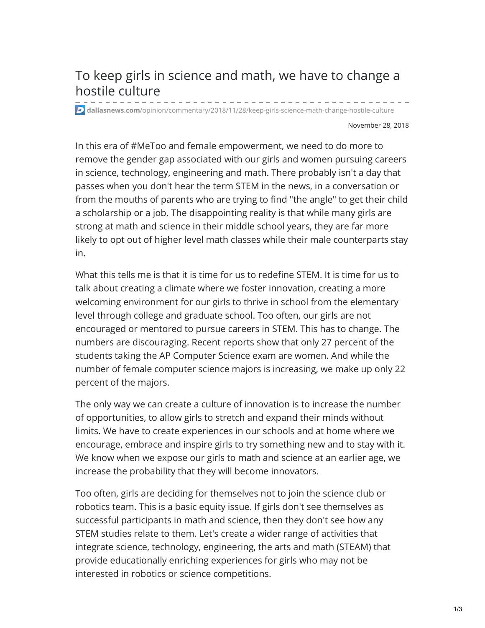## To keep girls in science and math, we have to change a hostile culture

**dallasnews.com**[/opinion/commentary/2018/11/28/keep-girls-science-math-change-hostile-culture](https://www.dallasnews.com/opinion/commentary/2018/11/28/keep-girls-science-math-change-hostile-culture)

November 28, 2018

In this era of #MeToo and female empowerment, we need to do more to remove the gender gap associated with our girls and women pursuing careers in science, technology, engineering and math. There probably isn't a day that passes when you don't hear the term STEM in the news, in a conversation or from the mouths of parents who are trying to find "the angle" to get their child a scholarship or a job. The disappointing reality is that while many girls are strong at math and science in their middle school years, they are far more likely to opt out of higher level math classes while their male counterparts stay in.

What this tells me is that it is time for us to redefine STEM. It is time for us to talk about creating a climate where we foster innovation, creating a more welcoming environment for our girls to thrive in school from the elementary level through college and graduate school. Too often, our girls are not encouraged or mentored to pursue careers in STEM. This has to change. The numbers are discouraging. Recent reports show that only 27 percent of the students taking the AP Computer Science exam are women. And while the number of female computer science majors is increasing, we make up only 22 percent of the majors.

The only way we can create a culture of innovation is to increase the number of opportunities, to allow girls to stretch and expand their minds without limits. We have to create experiences in our schools and at home where we encourage, embrace and inspire girls to try something new and to stay with it. We know when we expose our girls to math and science at an earlier age, we increase the probability that they will become innovators.

Too often, girls are deciding for themselves not to join the science club or robotics team. This is a basic equity issue. If girls don't see themselves as successful participants in math and science, then they don't see how any STEM studies relate to them. Let's create a wider range of activities that integrate science, technology, engineering, the arts and math (STEAM) that provide educationally enriching experiences for girls who may not be interested in robotics or science competitions.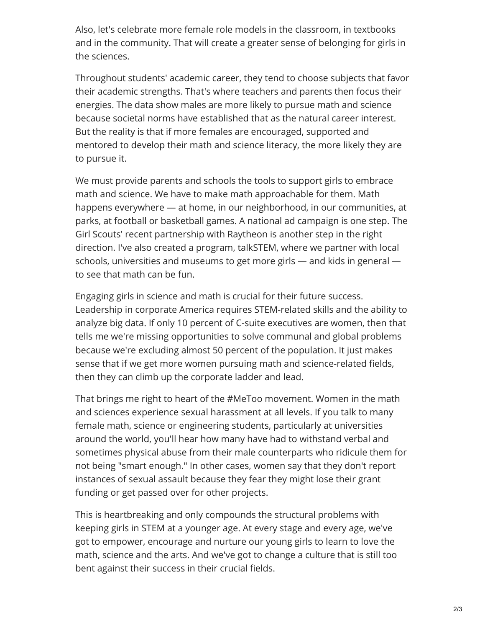Also, let's celebrate more female role models in the classroom, in textbooks and in the community. That will create a greater sense of belonging for girls in the sciences.

Throughout students' academic career, they tend to choose subjects that favor their academic strengths. That's where teachers and parents then focus their energies. The data show males are more likely to pursue math and science because societal norms have established that as the natural career interest. But the reality is that if more females are encouraged, supported and mentored to develop their math and science literacy, the more likely they are to pursue it.

We must provide parents and schools the tools to support girls to embrace math and science. We have to make math approachable for them. Math happens everywhere — at home, in our neighborhood, in our communities, at parks, at football or basketball games. A national ad campaign is one step. The Girl Scouts' recent partnership with Raytheon is another step in the right direction. I've also created a program, talkSTEM, where we partner with local schools, universities and museums to get more girls — and kids in general to see that math can be fun.

Engaging girls in science and math is crucial for their future success. Leadership in corporate America requires STEM-related skills and the ability to analyze big data. If only 10 percent of C-suite executives are women, then that tells me we're missing opportunities to solve communal and global problems because we're excluding almost 50 percent of the population. It just makes sense that if we get more women pursuing math and science-related fields, then they can climb up the corporate ladder and lead.

That brings me right to heart of the #MeToo movement. Women in the math and sciences experience sexual harassment at all levels. If you talk to many female math, science or engineering students, particularly at universities around the world, you'll hear how many have had to withstand verbal and sometimes physical abuse from their male counterparts who ridicule them for not being "smart enough." In other cases, women say that they don't report instances of sexual assault because they fear they might lose their grant funding or get passed over for other projects.

This is heartbreaking and only compounds the structural problems with keeping girls in STEM at a younger age. At every stage and every age, we've got to empower, encourage and nurture our young girls to learn to love the math, science and the arts. And we've got to change a culture that is still too bent against their success in their crucial fields.